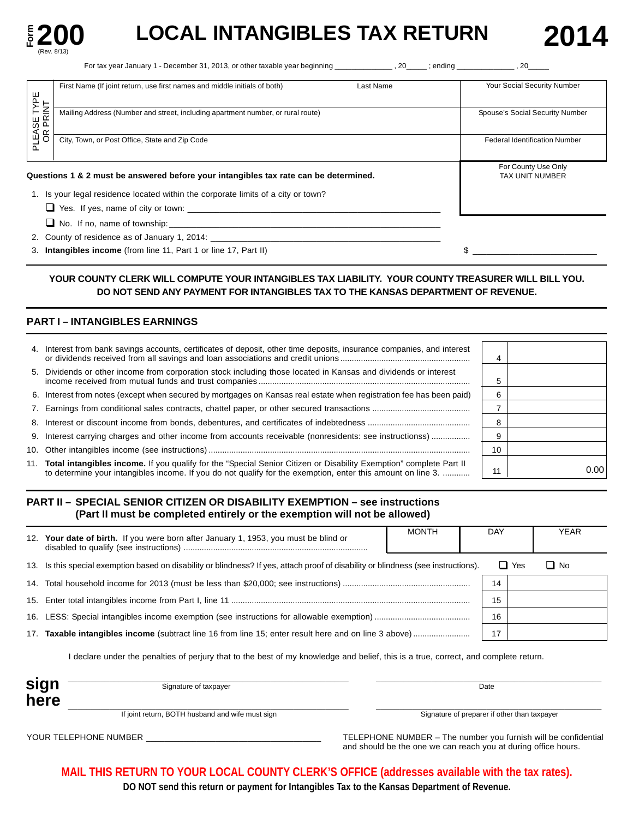

# LOCAL INTANGIBLES TAX RETURN 2014

For tax year January 1 - December 31, 2013, or other taxable year beginning \_\_\_\_\_\_\_\_\_\_\_\_\_\_ , 20\_\_\_\_\_ ; ending \_\_\_\_\_\_\_\_\_\_\_\_\_\_ , 20\_\_\_\_\_

|                 | Last Name<br>First Name (If joint return, use first names and middle initials of both) | Your Social Security Number          |
|-----------------|----------------------------------------------------------------------------------------|--------------------------------------|
| YPE             |                                                                                        |                                      |
| E TYP<br>RINT   | Mailing Address (Number and street, including apartment number, or rural route)        | Spouse's Social Security Number      |
| ᇟ               |                                                                                        |                                      |
| PLEASE<br>OR PI | City, Town, or Post Office, State and Zip Code                                         | <b>Federal Identification Number</b> |
|                 |                                                                                        |                                      |
|                 |                                                                                        | For County Use Only                  |
|                 | Questions 1 & 2 must be answered before your intangibles tax rate can be determined.   | <b>TAX UNIT NUMBER</b>               |
|                 | 1. Is your legal residence located within the corporate limits of a city or town?      |                                      |
|                 | $\Box$ Yes. If yes, name of city or town:                                              |                                      |
|                 | $\Box$ No. If no, name of township:                                                    |                                      |
|                 |                                                                                        |                                      |
|                 | 3. Intangibles income (from line 11, Part 1 or line 17, Part II)                       |                                      |

### **YOUR COUNTY CLERK WILL COMPUTE YOUR INTANGIBLES TAX LIABILITY. YOUR COUNTY TREASURER WILL BILL YOU. DO NOT SEND ANY PAYMENT FOR INTANGIBLES TAX TO THE KANSAS DEPARTMENT OF REVENUE.**

### **PART I – INTANGIBLES EARNINGS**

| 4. Interest from bank savings accounts, certificates of deposit, other time deposits, insurance companies, and interest                                                                                                               |    |       |
|---------------------------------------------------------------------------------------------------------------------------------------------------------------------------------------------------------------------------------------|----|-------|
| 5. Dividends or other income from corporation stock including those located in Kansas and dividends or interest                                                                                                                       |    |       |
| 6. Interest from notes (except when secured by mortgages on Kansas real estate when registration fee has been paid)                                                                                                                   | 6  |       |
|                                                                                                                                                                                                                                       |    |       |
|                                                                                                                                                                                                                                       | 8  |       |
| 9. Interest carrying charges and other income from accounts receivable (nonresidents: see instructionss)                                                                                                                              |    |       |
|                                                                                                                                                                                                                                       | 10 |       |
| 11. Total intangibles income. If you qualify for the "Special Senior Citizen or Disability Exemption" complete Part II<br>to determine your intangibles income. If you do not qualify for the exemption, enter this amount on line 3. | 11 | 0.001 |

### **PART II – SPECIAL SENIOR CITIZEN OR DISABILITY EXEMPTION – see instructions (Part II must be completed entirely or the exemption will not be allowed)**

| 12. | Your date of birth. If you were born after January 1, 1953, you must be blind or                                                | <b>MONTH</b> | DAY |            | <b>YEAR</b> |
|-----|---------------------------------------------------------------------------------------------------------------------------------|--------------|-----|------------|-------------|
| 13. | Is this special exemption based on disability or blindness? If yes, attach proof of disability or blindness (see instructions). |              |     | $\Box$ Yes | $\Box$ No   |
| 14. |                                                                                                                                 |              | 14  |            |             |
|     |                                                                                                                                 |              | 15  |            |             |
| 16. |                                                                                                                                 |              | 16  |            |             |
| 17. | <b>Taxable intangibles income</b> (subtract line 16 from line 15; enter result here and on line 3 above)                        |              |     |            |             |

I declare under the penalties of perjury that to the best of my knowledge and belief, this is a true, correct, and complete return.

| Signature of taxpayer                            | Date                                         |
|--------------------------------------------------|----------------------------------------------|
| If joint return, BOTH husband and wife must sign | Signature of preparer if other than taxpayer |

YOUR TELEPHONE NUMBER \_\_\_\_\_\_\_\_\_\_\_\_\_\_\_\_\_\_\_\_\_\_\_\_\_\_\_\_\_\_\_\_\_\_\_\_\_\_ TELEPHONE NUMBER – The number you furnish will be confidential and should be the one we can reach you at during office hours.

**MAIL THIS RETURN TO YOUR LOCAL COUNTY CLERK'S OFFICE (addresses available with the tax rates).** 

**DO NOT send this return or payment for Intangibles Tax to the Kansas Department of Revenue.**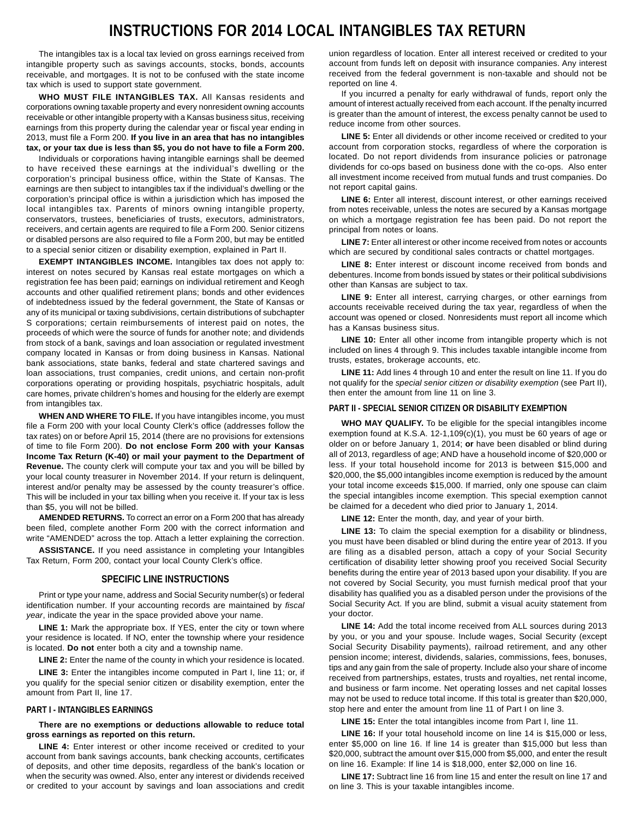# **INSTRUCTIONS FOR 2014 LOCAL INTANGIBLES TAX RETURN**

The intangibles tax is a local tax levied on gross earnings received from intangible property such as savings accounts, stocks, bonds, accounts receivable, and mortgages. It is not to be confused with the state income tax which is used to support state government.

**WHO MUST FILE INTANGIBLES TAX.** All Kansas residents and corporations owning taxable property and every nonresident owning accounts receivable or other intangible property with a Kansas business situs, receiving earnings from this property during the calendar year or fiscal year ending in 2013, must file a Form 200. **If you live in an area that has no intangibles tax, or your tax due is less than \$5, you do not have to file a Form 200.** 

Individuals or corporations having intangible earnings shall be deemed to have received these earnings at the individual's dwelling or the corporation's principal business office, within the State of Kansas. The earnings are then subject to intangibles tax if the individual's dwelling or the corporation's principal office is within a jurisdiction which has imposed the local intangibles tax. Parents of minors owning intangible property, conservators, trustees, beneficiaries of trusts, executors, administrators, receivers, and certain agents are required to file a Form 200. Senior citizens or disabled persons are also required to file a Form 200, but may be entitled to a special senior citizen or disability exemption, explained in Part II.

**EXEMPT INTANGIBLES INCOME.** Intangibles tax does not apply to: interest on notes secured by Kansas real estate mortgages on which a registration fee has been paid; earnings on individual retirement and Keogh accounts and other qualified retirement plans; bonds and other evidences of indebtedness issued by the federal government, the State of Kansas or any of its municipal or taxing subdivisions, certain distributions of subchapter S corporations; certain reimbursements of interest paid on notes, the proceeds of which were the source of funds for another note; and dividends from stock of a bank, savings and loan association or regulated investment company located in Kansas or from doing business in Kansas. National bank associations, state banks, federal and state chartered savings and loan associations, trust companies, credit unions, and certain non-profit corporations operating or providing hospitals, psychiatric hospitals, adult care homes, private children's homes and housing for the elderly are exempt from intangibles tax.

**WHEN AND WHERE TO FILE.** If you have intangibles income, you must file a Form 200 with your local County Clerk's office (addresses follow the tax rates) on or before April 15, 2014 (there are no provisions for extensions of time to file Form 200). **Do not enclose Form 200 with your Kansas Income Tax Return (K-40) or mail your payment to the Department of Revenue.** The county clerk will compute your tax and you will be billed by your local county treasurer in November 2014. If your return is delinquent, interest and/or penalty may be assessed by the county treasurer's office. This will be included in your tax billing when you receive it. If your tax is less than \$5, you will not be billed.

**AMENDED RETURNS.** To correct an error on a Form 200 that has already been filed, complete another Form 200 with the correct information and write "AMENDED" across the top. Attach a letter explaining the correction.

**ASSISTANCE.** If you need assistance in completing your Intangibles Tax Return, Form 200, contact your local County Clerk's office.

#### **SPECIFIC LINE INSTRUCTIONS**

Print or type your name, address and Social Security number(s) or federal identification number. If your accounting records are maintained by *fiscal year*, indicate the year in the space provided above your name.

**LINE 1:** Mark the appropriate box. If YES, enter the city or town where your residence is located. If NO, enter the township where your residence is located. **Do not** enter both a city and a township name.

LINE 2: Enter the name of the county in which your residence is located.

LINE 3: Enter the intangibles income computed in Part I, line 11; or, if you qualify for the special senior citizen or disability exemption, enter the amount from Part II, line 17.

#### **PART I - INTANGIBLES EARNINGS**

**There are no exemptions or deductions allowable to reduce total gross earnings as reported on this return.** 

LINE 4: Enter interest or other income received or credited to your account from bank savings accounts, bank checking accounts, certificates of deposits, and other time deposits, regardless of the bank's location or when the security was owned. Also, enter any interest or dividends received or credited to your account by savings and loan associations and credit

union regardless of location. Enter all interest received or credited to your account from funds left on deposit with insurance companies. Any interest received from the federal government is non-taxable and should not be reported on line 4.

If you incurred a penalty for early withdrawal of funds, report only the amount of interest actually received from each account. If the penalty incurred is greater than the amount of interest, the excess penalty cannot be used to reduce income from other sources.

LINE 5: Enter all dividends or other income received or credited to your account from corporation stocks, regardless of where the corporation is located. Do not report dividends from insurance policies or patronage dividends for co-ops based on business done with the co-ops. Also enter all investment income received from mutual funds and trust companies. Do not report capital gains.

**LINE 6:** Enter all interest, discount interest, or other earnings received from notes receivable, unless the notes are secured by a Kansas mortgage on which a mortgage registration fee has been paid. Do not report the principal from notes or loans.

**LINE 7:** Enter all interest or other income received from notes or accounts which are secured by conditional sales contracts or chattel mortgages.

**LINE 8:** Enter interest or discount income received from bonds and debentures. Income from bonds issued by states or their political subdivisions other than Kansas are subject to tax.

**LINE 9:** Enter all interest, carrying charges, or other earnings from accounts receivable received during the tax year, regardless of when the account was opened or closed. Nonresidents must report all income which has a Kansas business situs.

LINE 10: Enter all other income from intangible property which is not included on lines 4 through 9. This includes taxable intangible income from trusts, estates, brokerage accounts, etc.

**LINE 11:** Add lines 4 through 10 and enter the result on line 11. If you do not qualify for the *special senior citizen or disability exemption* (see Part II), then enter the amount from line 11 on line 3.

#### **PART II - SPECIAL SENIOR CITIZEN OR DISABILITY EXEMPTION**

**WHO MAY QUALIFY.** To be eligible for the special intangibles income exemption found at K.S.A. 12-1,109(c)(1), you must be 60 years of age or older on or before January 1, 2014; **or** have been disabled or blind during all of 2013, regardless of age; AND have a household income of \$20,000 or less. If your total household income for 2013 is between \$15,000 and \$20,000, the \$5,000 intangibles income exemption is reduced by the amount your total income exceeds \$15,000. If married, only one spouse can claim the special intangibles income exemption. This special exemption cannot be claimed for a decedent who died prior to January 1, 2014.

**LINE 12:** Enter the month, day, and year of your birth.

**LINE 13:** To claim the special exemption for a disability or blindness, you must have been disabled or blind during the entire year of 2013. If you are filing as a disabled person, attach a copy of your Social Security certification of disability letter showing proof you received Social Security benefits during the entire year of 2013 based upon your disability. If you are not covered by Social Security, you must furnish medical proof that your disability has qualified you as a disabled person under the provisions of the Social Security Act. If you are blind, submit a visual acuity statement from your doctor.

**LINE 14:** Add the total income received from ALL sources during 2013 by you, or you and your spouse. Include wages, Social Security (except Social Security Disability payments), railroad retirement, and any other pension income; interest, dividends, salaries, commissions, fees, bonuses, tips and any gain from the sale of property. Include also your share of income received from partnerships, estates, trusts and royalties, net rental income, and business or farm income. Net operating losses and net capital losses may not be used to reduce total income. If this total is greater than \$20,000, stop here and enter the amount from line 11 of Part I on line 3.

**LINE 15:** Enter the total intangibles income from Part I, line 11.

**LINE 16:** If your total household income on line 14 is \$15,000 or less, enter \$5,000 on line 16. If line 14 is greater than \$15,000 but less than \$20,000, subtract the amount over \$15,000 from \$5,000, and enter the result on line 16. Example: If line 14 is \$18,000, enter \$2,000 on line 16.

**LINE 17:** Subtract line 16 from line 15 and enter the result on line 17 and on line 3. This is your taxable intangibles income.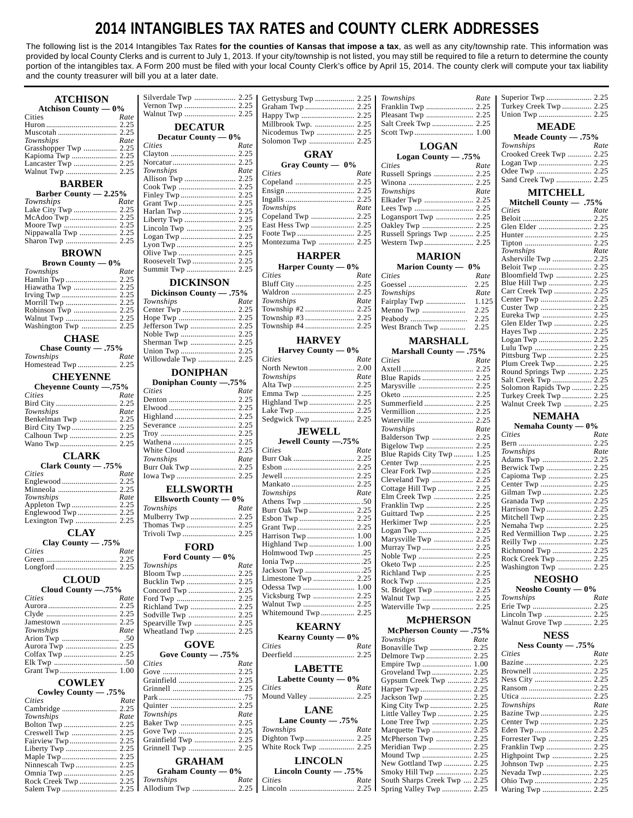# **2014 INTANGIBLES TAX RATES and COUNTY CLERK ADDRESSES**

The following list is the 2014 Intangibles Tax Rates **for the counties of Kansas that impose a tax**, as well as any city/township rate. This information was provided by local County Clerks and is current to July 1, 2013. If your city/township is not listed, you may still be required to file a return to determine the county portion of the intangibles tax. A Form 200 must be filed with your local County Clerk's office by April 15, 2014. The county clerk will compute your tax liability and the county treasurer will bill you at a later date.

| <b>ATCHISON</b>               | Silverdale Twp  2.25          |      |                        |      | Townships                                  | Rate  |                                                |      |
|-------------------------------|-------------------------------|------|------------------------|------|--------------------------------------------|-------|------------------------------------------------|------|
| Atchison County $-0\%$        |                               |      |                        |      | Franklin Twp  2.25                         |       | Turkey Creek Twp 2.25                          |      |
| Rate<br>Cities                |                               |      |                        |      | Pleasant Twp  2.25                         |       |                                                |      |
|                               | <b>DECATUR</b>                |      | Millbrook Twp.  2.25   |      | Salt Creek Twp  2.25                       |       | <b>MEADE</b>                                   |      |
|                               |                               |      |                        |      |                                            |       |                                                |      |
| Townships<br>Rate             | Decatur County — 0%<br>Cities | Rate | Solomon Twp  2.25      |      | <b>LOGAN</b>                               |       | Meade County - .75%<br>Townships               | Rate |
| Grasshopper Twp  2.25         |                               |      | <b>GRAY</b>            |      |                                            |       | Crooked Creek Twp  2.25                        |      |
| Kapioma Twp  2.25             |                               |      |                        |      | Logan County $-.75%$                       |       |                                                |      |
|                               | Townships                     | Rate | Gray County — 0%       |      | <b>Cities</b>                              | Rate  |                                                |      |
|                               |                               |      | Cities                 | Rate |                                            |       | Sand Creek Twp  2.25                           |      |
| <b>BARBER</b>                 |                               |      |                        |      | Townships                                  | Rate  |                                                |      |
| Barber County $-2.25%$        |                               |      |                        |      |                                            |       | <b>MITCHELL</b>                                |      |
| Townships<br>Rate             |                               |      | Townships              | Rate |                                            |       | Mitchell County - .75%                         |      |
|                               |                               |      |                        |      |                                            |       | Cities                                         | Rate |
|                               |                               |      |                        |      |                                            |       |                                                |      |
|                               |                               |      |                        |      | Russell Springs Twp  2.25                  |       |                                                |      |
|                               |                               |      | Montezuma Twp  2.25    |      |                                            |       |                                                |      |
| <b>BROWN</b>                  |                               |      |                        |      |                                            |       | Townships                                      | Rate |
| Brown County — $0\%$          |                               |      | <b>HARPER</b>          |      | <b>MARION</b>                              |       | Asherville Twp  2.25                           |      |
| Rate<br>Townships             |                               |      | Harper County $-0\%$   |      | Marion County $- 0\%$                      |       |                                                |      |
|                               |                               |      | <b>Cities</b>          | Rate | <b>Cities</b>                              | Rate  |                                                |      |
| Hiawatha Twp  2.25            | <b>DICKINSON</b>              |      |                        |      |                                            |       |                                                |      |
|                               | Dickinson County - .75%       |      |                        |      | Townships                                  | Rate  | Carr Creek Twp  2.25                           |      |
|                               | Townships                     | Rate | Townships              | Rate | Fairplay Twp                               | 1.125 |                                                |      |
|                               |                               |      | Township #2  2.25      |      | Menno Twp                                  | 2.25  | Eureka Twp  2.25                               |      |
| Washington Twp  2.25          |                               |      |                        |      |                                            |       | Glen Elder Twp  2.25                           |      |
|                               |                               |      |                        |      |                                            |       |                                                |      |
| <b>CHASE</b>                  |                               |      | <b>HARVEY</b>          |      | <b>MARSHALL</b>                            |       |                                                |      |
| Chase County - .75%           |                               |      | Harvey County $-0\%$   |      | Marshall County - .75%                     |       |                                                |      |
| Townships<br>Rate             | Willowdale Twp  2.25          |      | <b>Cities</b>          | Rate | <b>Cities</b>                              | Rate  |                                                |      |
|                               | <b>DONIPHAN</b>               |      |                        |      |                                            |       | Plum Creek Twp 2.25<br>Round Springs Twp  2.25 |      |
| <b>CHEYENNE</b>               |                               |      | Townships              | Rate |                                            |       |                                                |      |
| Cheyenne County -.75%         | Doniphan County -. 75%        |      |                        |      | Marysville  2.25                           |       | Solomon Rapids Twp  2.25                       |      |
| <b>Cities</b><br>Rate         | Cities                        | Rate |                        |      |                                            |       | Turkey Creek Twp  2.25                         |      |
|                               |                               |      | Highland Twp  2.25     |      |                                            |       | Walnut Creek Twp  2.25                         |      |
| Townships<br>Rate             |                               |      |                        |      |                                            |       | <b>NEMAHA</b>                                  |      |
| Benkelman Twp  2.25           |                               |      |                        |      | Waterville  2.25                           |       |                                                |      |
|                               |                               |      | <b>JEWELL</b>          |      | Townships                                  | Rate  | Nemaha County $-0\%$<br><b>Cities</b>          |      |
|                               |                               |      | Jewell County -. 75%   |      |                                            |       |                                                | Rate |
|                               |                               |      | <b>Cities</b>          | Rate |                                            |       | Townships                                      | Rate |
| <b>CLARK</b>                  | Townships                     | Rate |                        |      | Blue Rapids City Twp  1.25                 |       |                                                |      |
| Clark County - .75%           | Burr Oak Twp  2.25            |      |                        |      |                                            |       |                                                |      |
| Cities<br>Rate                |                               |      |                        |      | Cleveland Twp  2.25                        |       | Capioma Twp  2.25                              |      |
|                               | <b>ELLSWORTH</b>              |      |                        |      | Cottage Hill Twp  2.25                     |       |                                                |      |
| Townships<br>Rate             |                               |      | <b>Townships</b>       | Rate | Elm Creek Twp  2.25                        |       |                                                |      |
|                               | Ellsworth County $-0\%$       |      |                        |      | Franklin Twp  2.25                         |       |                                                |      |
|                               | Townships                     | Rate |                        |      |                                            |       | Harrison Twp  2.25                             |      |
|                               |                               |      |                        |      |                                            |       | Mitchell Twp  2.25                             |      |
| <b>CLAY</b>                   |                               |      |                        |      |                                            |       | Red Vermillion Twp  2.25                       |      |
| Clay County $-.75%$           |                               |      |                        |      |                                            |       |                                                |      |
| Cities<br><b>Rate</b>         | <b>FORD</b>                   |      |                        |      |                                            |       | Richmond Twp  2.25                             |      |
|                               | Ford County $-0\%$            |      | Holmwood Twp 25        |      |                                            |       |                                                |      |
|                               | Townships                     | Rate |                        |      |                                            |       | Washington Twp  2.25                           |      |
| <b>CLOUD</b>                  |                               |      |                        |      |                                            |       | <b>NEOSHO</b>                                  |      |
|                               |                               |      |                        |      |                                            |       |                                                |      |
| Cloud County -. 75%<br>Cities | Concord Twp  2.25             |      |                        |      |                                            |       | Neosho County — 0%<br>Townships                |      |
| Rate                          |                               |      |                        |      | Waterville Twp  2.25                       |       |                                                | Rate |
|                               | Sodville Twp  2.25            |      | Whitemound Twp 2.25    |      |                                            |       | Lincoln Twp  2.25                              |      |
|                               |                               |      |                        |      | <b>McPHERSON</b>                           |       | Walnut Grove Twp  2.25                         |      |
| Townships<br>Rate             |                               |      | <b>KEARNY</b>          |      | McPherson County - .75%                    |       |                                                |      |
|                               |                               |      | Kearny County $-0\%$   |      | Townships                                  | Rate  | <b>NESS</b>                                    |      |
|                               | <b>GOVE</b>                   |      | Cities                 | Rate | Bonaville Twp  2.25                        |       | Ness County $-.75%$                            |      |
|                               | Gove County $-.75%$           |      |                        |      |                                            |       | <b>Cities</b>                                  | Rate |
|                               | <b>Cities</b>                 | Rate | <b>LABETTE</b>         |      |                                            |       |                                                |      |
|                               |                               |      | Labette County $-0\%$  |      |                                            |       |                                                |      |
| <b>COWLEY</b>                 | Grainfield  2.25              |      | <b>Cities</b>          | Rate | Gypsum Creek Twp  2.25<br>Harper Twp  2.25 |       |                                                |      |
| Cowley County - .75%          |                               |      |                        |      |                                            |       |                                                |      |
| Rate<br>Cities                |                               |      |                        |      |                                            |       | Townships                                      | Rate |
|                               | Townships                     | Rate | <b>LANE</b>            |      | Little Valley Twp  2.25                    |       | Bazine Twp 2.25                                |      |
| Rate<br>Townships             |                               |      | Lane County $-.75%$    |      |                                            |       |                                                |      |
|                               |                               |      | Townships              | Rate |                                            |       |                                                |      |
|                               |                               |      |                        |      | McPherson Twp  2.25                        |       | Forrester Twp  2.25                            |      |
|                               | Grainfield Twp  2.25          |      |                        |      |                                            |       |                                                |      |
|                               |                               |      | White Rock Twp  2.25   |      | Meridian Twp  2.25                         |       |                                                |      |
|                               |                               |      |                        |      |                                            |       | Highpoint Twp  2.25                            |      |
|                               | <b>GRAHAM</b>                 |      | <b>LINCOLN</b>         |      | New Gottland Twp  2.25                     |       |                                                |      |
|                               | Graham County $-0\%$          |      | Lincoln County $-.75%$ |      |                                            |       |                                                |      |
|                               | Townships                     | Rate | Cities                 | Rate | South Sharps Creek Twp  2.25               |       |                                                |      |
|                               |                               |      |                        |      | Spring Valley Twp  2.25                    |       |                                                |      |